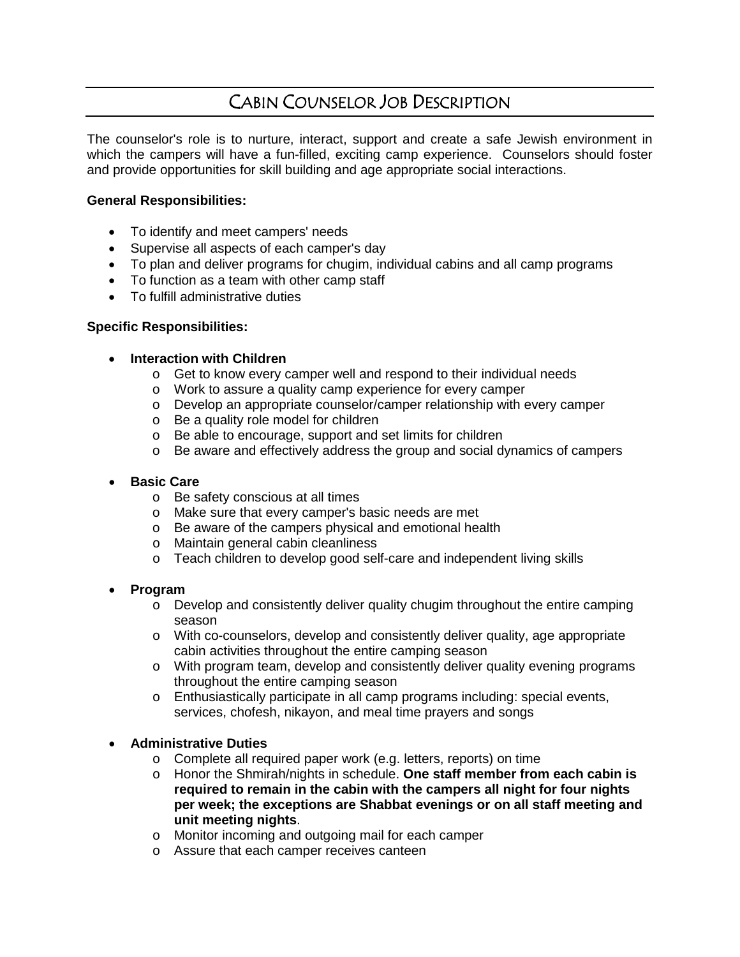# CABIN COUNSELOR JOB DESCRIPTION

The counselor's role is to nurture, interact, support and create a safe Jewish environment in which the campers will have a fun-filled, exciting camp experience. Counselors should foster and provide opportunities for skill building and age appropriate social interactions.

## **General Responsibilities:**

- To identify and meet campers' needs
- Supervise all aspects of each camper's day
- To plan and deliver programs for chugim, individual cabins and all camp programs
- To function as a team with other camp staff
- To fulfill administrative duties

## **Specific Responsibilities:**

## • **Interaction with Children**

- o Get to know every camper well and respond to their individual needs
- o Work to assure a quality camp experience for every camper
- o Develop an appropriate counselor/camper relationship with every camper
- o Be a quality role model for children
- o Be able to encourage, support and set limits for children
- o Be aware and effectively address the group and social dynamics of campers

#### • **Basic Care**

- o Be safety conscious at all times
- o Make sure that every camper's basic needs are met
- o Be aware of the campers physical and emotional health
- o Maintain general cabin cleanliness
- o Teach children to develop good self-care and independent living skills

#### • **Program**

- $\circ$  Develop and consistently deliver quality chugim throughout the entire camping season
- o With co-counselors, develop and consistently deliver quality, age appropriate cabin activities throughout the entire camping season
- o With program team, develop and consistently deliver quality evening programs throughout the entire camping season
- o Enthusiastically participate in all camp programs including: special events, services, chofesh, nikayon, and meal time prayers and songs

# • **Administrative Duties**

- o Complete all required paper work (e.g. letters, reports) on time
- o Honor the Shmirah/nights in schedule. **One staff member from each cabin is required to remain in the cabin with the campers all night for four nights per week; the exceptions are Shabbat evenings or on all staff meeting and unit meeting nights**.
- o Monitor incoming and outgoing mail for each camper
- o Assure that each camper receives canteen